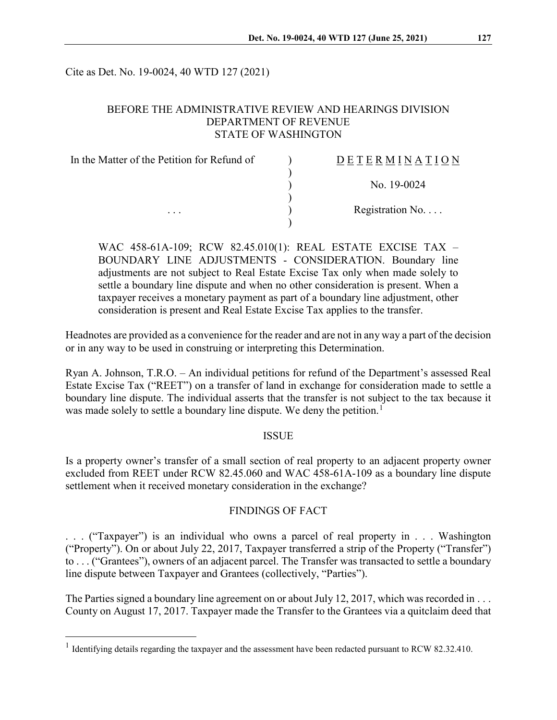Cite as Det. No. 19-0024, 40 WTD 127 (2021)

## BEFORE THE ADMINISTRATIVE REVIEW AND HEARINGS DIVISION DEPARTMENT OF REVENUE STATE OF WASHINGTON

| In the Matter of the Petition for Refund of | <b>DETERMINATION</b>     |
|---------------------------------------------|--------------------------|
|                                             |                          |
|                                             | No. 19-0024              |
|                                             |                          |
| $\cdots$                                    | Registration No. $\dots$ |
|                                             |                          |

WAC 458-61A-109; RCW 82.45.010(1): REAL ESTATE EXCISE TAX – BOUNDARY LINE ADJUSTMENTS - CONSIDERATION. Boundary line adjustments are not subject to Real Estate Excise Tax only when made solely to settle a boundary line dispute and when no other consideration is present. When a taxpayer receives a monetary payment as part of a boundary line adjustment, other consideration is present and Real Estate Excise Tax applies to the transfer.

Headnotes are provided as a convenience for the reader and are not in any way a part of the decision or in any way to be used in construing or interpreting this Determination.

Ryan A. Johnson, T.R.O. – An individual petitions for refund of the Department's assessed Real Estate Excise Tax ("REET") on a transfer of land in exchange for consideration made to settle a boundary line dispute. The individual asserts that the transfer is not subject to the tax because it was made solely to settle a boundary line dispute. We deny the petition.<sup>[1](#page-0-0)</sup>

### **ISSUE**

Is a property owner's transfer of a small section of real property to an adjacent property owner excluded from REET under RCW 82.45.060 and WAC 458-61A-109 as a boundary line dispute settlement when it received monetary consideration in the exchange?

### FINDINGS OF FACT

. . . ("Taxpayer") is an individual who owns a parcel of real property in . . . Washington ("Property"). On or about July 22, 2017, Taxpayer transferred a strip of the Property ("Transfer") to . . . ("Grantees"), owners of an adjacent parcel. The Transfer was transacted to settle a boundary line dispute between Taxpayer and Grantees (collectively, "Parties").

The Parties signed a boundary line agreement on or about July 12, 2017, which was recorded in . . . County on August 17, 2017. Taxpayer made the Transfer to the Grantees via a quitclaim deed that

<span id="page-0-0"></span><sup>&</sup>lt;sup>1</sup> Identifying details regarding the taxpayer and the assessment have been redacted pursuant to RCW 82.32.410.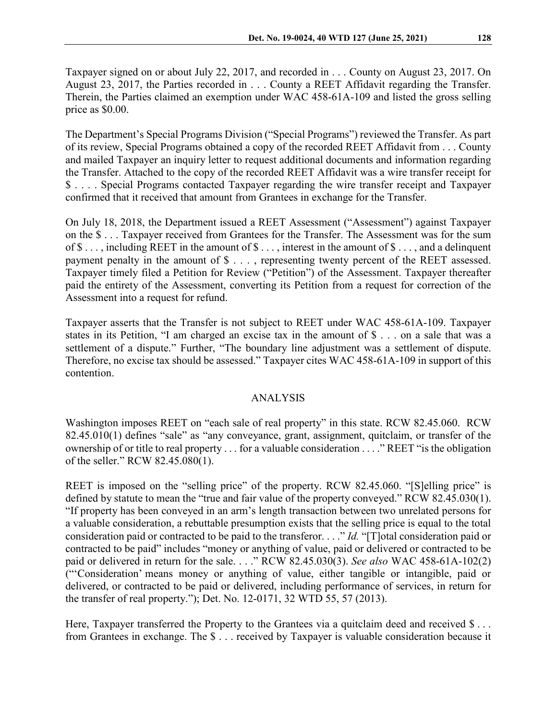Taxpayer signed on or about July 22, 2017, and recorded in . . . County on August 23, 2017. On August 23, 2017, the Parties recorded in . . . County a REET Affidavit regarding the Transfer. Therein, the Parties claimed an exemption under WAC 458-61A-109 and listed the gross selling price as \$0.00.

The Department's Special Programs Division ("Special Programs") reviewed the Transfer. As part of its review, Special Programs obtained a copy of the recorded REET Affidavit from . . . County and mailed Taxpayer an inquiry letter to request additional documents and information regarding the Transfer. Attached to the copy of the recorded REET Affidavit was a wire transfer receipt for \$ . . . . Special Programs contacted Taxpayer regarding the wire transfer receipt and Taxpayer confirmed that it received that amount from Grantees in exchange for the Transfer.

On July 18, 2018, the Department issued a REET Assessment ("Assessment") against Taxpayer on the \$ . . . Taxpayer received from Grantees for the Transfer. The Assessment was for the sum of  $\$\ldots$ , including REET in the amount of  $\$\ldots$ , interest in the amount of  $\$\ldots$ , and a delinquent payment penalty in the amount of \$ . . . , representing twenty percent of the REET assessed. Taxpayer timely filed a Petition for Review ("Petition") of the Assessment. Taxpayer thereafter paid the entirety of the Assessment, converting its Petition from a request for correction of the Assessment into a request for refund.

Taxpayer asserts that the Transfer is not subject to REET under WAC 458-61A-109. Taxpayer states in its Petition, "I am charged an excise tax in the amount of \$ . . . on a sale that was a settlement of a dispute." Further, "The boundary line adjustment was a settlement of dispute. Therefore, no excise tax should be assessed." Taxpayer cites WAC 458-61A-109 in support of this contention.

#### ANALYSIS

Washington imposes REET on "each sale of real property" in this state. RCW 82.45.060. RCW 82.45.010(1) defines "sale" as "any conveyance, grant, assignment, quitclaim, or transfer of the ownership of or title to real property . . . for a valuable consideration . . . ." REET "is the obligation of the seller." RCW 82.45.080(1).

REET is imposed on the "selling price" of the property. RCW 82.45.060. "[S]elling price" is defined by statute to mean the "true and fair value of the property conveyed." RCW 82.45.030(1). "If property has been conveyed in an arm's length transaction between two unrelated persons for a valuable consideration, a rebuttable presumption exists that the selling price is equal to the total consideration paid or contracted to be paid to the transferor. . . ." *Id.* "[T]otal consideration paid or contracted to be paid" includes "money or anything of value, paid or delivered or contracted to be paid or delivered in return for the sale. . . ." RCW 82.45.030(3). *See also* WAC 458-61A-102(2) ("'Consideration' means money or anything of value, either tangible or intangible, paid or delivered, or contracted to be paid or delivered, including performance of services, in return for the transfer of real property."); Det. No. 12-0171, 32 WTD 55, 57 (2013).

Here, Taxpayer transferred the Property to the Grantees via a quitclaim deed and received \$... from Grantees in exchange. The \$ . . . received by Taxpayer is valuable consideration because it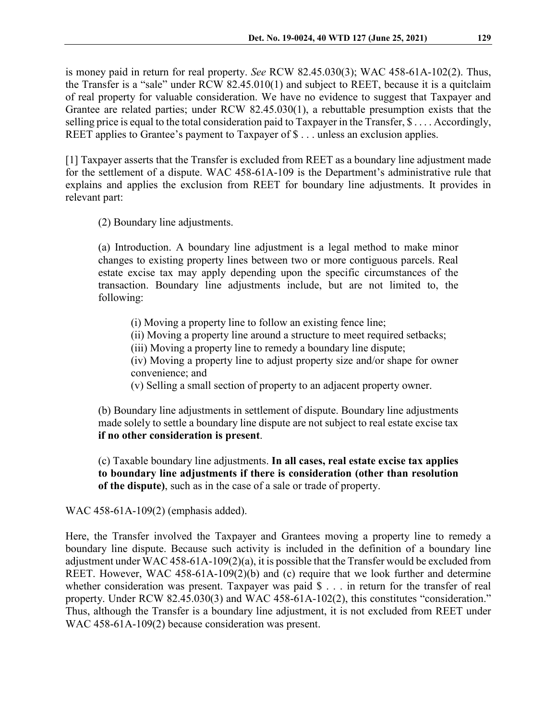is money paid in return for real property. *See* RCW 82.45.030(3); WAC 458-61A-102(2). Thus, the Transfer is a "sale" under RCW 82.45.010(1) and subject to REET, because it is a quitclaim of real property for valuable consideration. We have no evidence to suggest that Taxpayer and Grantee are related parties; under RCW 82.45.030(1), a rebuttable presumption exists that the selling price is equal to the total consideration paid to Taxpayer in the Transfer, \$.... Accordingly, REET applies to Grantee's payment to Taxpayer of \$ . . . unless an exclusion applies.

[1] Taxpayer asserts that the Transfer is excluded from REET as a boundary line adjustment made for the settlement of a dispute. WAC 458-61A-109 is the Department's administrative rule that explains and applies the exclusion from REET for boundary line adjustments. It provides in relevant part:

(2) Boundary line adjustments.

(a) Introduction. A boundary line adjustment is a legal method to make minor changes to existing property lines between two or more contiguous parcels. Real estate excise tax may apply depending upon the specific circumstances of the transaction. Boundary line adjustments include, but are not limited to, the following:

(i) Moving a property line to follow an existing fence line;

(ii) Moving a property line around a structure to meet required setbacks;

(iii) Moving a property line to remedy a boundary line dispute;

(iv) Moving a property line to adjust property size and/or shape for owner convenience; and

(v) Selling a small section of property to an adjacent property owner.

(b) Boundary line adjustments in settlement of dispute. Boundary line adjustments made solely to settle a boundary line dispute are not subject to real estate excise tax **if no other consideration is present**.

(c) Taxable boundary line adjustments. **In all cases, real estate excise tax applies to boundary line adjustments if there is consideration (other than resolution of the dispute)**, such as in the case of a sale or trade of property.

WAC 458-61A-109(2) (emphasis added).

Here, the Transfer involved the Taxpayer and Grantees moving a property line to remedy a boundary line dispute. Because such activity is included in the definition of a boundary line adjustment under WAC 458-61A-109(2)(a), it is possible that the Transfer would be excluded from REET. However, WAC 458-61A-109(2)(b) and (c) require that we look further and determine whether consideration was present. Taxpayer was paid \$ . . . in return for the transfer of real property. Under RCW 82.45.030(3) and WAC 458-61A-102(2), this constitutes "consideration." Thus, although the Transfer is a boundary line adjustment, it is not excluded from REET under WAC 458-61A-109(2) because consideration was present.